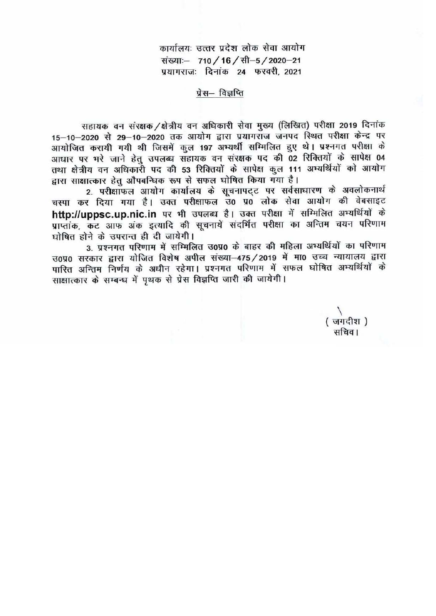कार्यालयः उत्तर प्रदेश लोक सेवा आयोग संख्याः- 710 / 16 / सी-5 / 2020-21 प्रयागराजः दिनांक 24 फरवरी, 2021

प्रेस— विज्ञप्ति

सहायक वन संरक्षक /क्षेत्रीय वन अधिकारी सेवा मुख्य (लिखित) परीक्षा 2019 दिनांक 15-10-2020 से 29-10-2020 तक आयोग द्वारा प्रयागराज जनपद स्थित परीक्षा केन्द्र पर आयोजित करायी गयी थी जिसमें कुल 197 अभ्यर्थी सम्मिलित हुए थे। प्रश्नगत परीक्षा के आधार पर भरे जाने हेतु उपलब्ध सहायक वन संरक्षक पद की 02 रिक्तियों के सापेक्ष 04 तथा क्षेत्रीय वन अधिकारी पद की 53 रिक्तियों के सापेक्ष कुल 111 अभ्यर्थियों को आयोग द्वारा साक्षात्कार हेतु औपबन्धिक रूप से सफल घोषित किया गया है।

2. परीक्षाफल आयोग कार्यालय के सूचनापट्ट पर सर्वसाधारण के अवलोकनार्थ चस्पा कर दिया गया है। उक्त परीक्षाफल उ० प्र0 लोक सेवा आयोग की वेबसाइट http://uppsc.up.nic.in पर भी उपलब्ध है। उक्त परीक्षा में सम्मिलित अभ्यर्थियों के प्राप्तांक, कट आफ अंक इत्यादि की सूचनायें संदर्भित परीक्षा का अन्तिम चयन परिणाम घोषित होने के उपरान्त ही दी जायेगी।

3. प्रश्नगत परिणाम में सम्मिलित उ0प्र0 के बाहर की महिला अभ्यर्थियों का परिणाम उ०प्र० सरकार द्वारा योजित विशेष अपील संख्या-475/2019 में मा0 उच्च न्यायालय द्वारा पारित अन्तिम निर्णय के अधीन रहेगा। प्रश्नगत परिणाम में सफल घोषित अभ्यर्थियों के साक्षात्कार के सम्बन्ध में पृथक से प्रेस विज्ञप्ति जारी की जायेगी।

> (जगदीश) सचिव।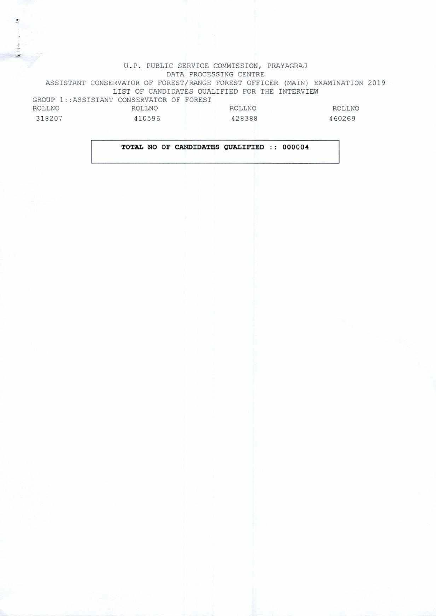## U.P. PUBLIC SERVICE COMMISSION, PRAYAGRAJ DATA PROCESSING CENTRE ASSISTANT CONSERVATOR OF FOREST/RANGE FOREST OFFICER (MAIN) EXAMINATION 2019 LIST OF CANDIDATES QUALIFIED FOR THE INTERVIEW GROUP 1:: ASSISTANT CONSERVATOR OF FOREST ROLLNO 318207 ROLLNO 410596 ROLLNO 428388 ROLLNO 460269

## **TOTAL NO OF CANDIDATES QUALIFIED :: 000004**